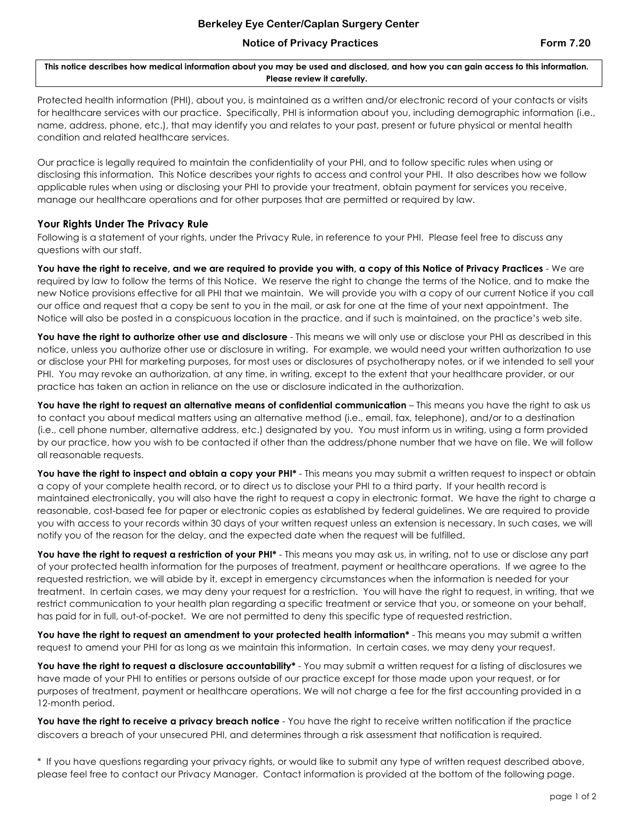## **Notice of Privacy Practices Form 7.20**

**This notice describes how medical information about you may be used and disclosed, and how you can gain access to this information. Please review it carefully.**

Protected health information (PHI), about you, is maintained as a written and/or electronic record of your contacts or visits for healthcare services with our practice. Specifically, PHI is information about you, including demographic information (i.e., name, address, phone, etc.), that may identify you and relates to your past, present or future physical or mental health condition and related healthcare services.

Our practice is legally required to maintain the confidentiality of your PHI, and to follow specific rules when using or disclosing this information. This Notice describes your rights to access and control your PHI. It also describes how we follow applicable rules when using or disclosing your PHI to provide your treatment, obtain payment for services you receive, manage our healthcare operations and for other purposes that are permitted or required by law.

## **Your Rights Under The Privacy Rule**

Following is a statement of your rights, under the Privacy Rule, in reference to your PHI. Please feel free to discuss any questions with our staff.

**You have the right to receive, and we are required to provide you with, a copy of this Notice of Privacy Practices** - We are required by law to follow the terms of this Notice. We reserve the right to change the terms of the Notice, and to make the new Notice provisions effective for all PHI that we maintain. We will provide you with a copy of our current Notice if you call our office and request that a copy be sent to you in the mail, or ask for one at the time of your next appointment. The Notice will also be posted in a conspicuous location in the practice, and if such is maintained, on the practice's web site.

You have the right to authorize other use and disclosure - This means we will only use or disclose your PHI as described in this notice, unless you authorize other use or disclosure in writing. For example, we would need your written authorization to use or disclose your PHI for marketing purposes, for most uses or disclosures of psychotherapy notes, or if we intended to sell your PHI. You may revoke an authorization, at any time, in writing, except to the extent that your healthcare provider, or our practice has taken an action in reliance on the use or disclosure indicated in the authorization.

**You have the right to request an alternative means of confidential communication** – This means you have the right to ask us to contact you about medical matters using an alternative method (i.e., email, fax, telephone), and/or to a destination (i.e., cell phone number, alternative address, etc.) designated by you. You must inform us in writing, using a form provided by our practice, how you wish to be contacted if other than the address/phone number that we have on file. We will follow all reasonable requests.

You have the right to inspect and obtain a copy your PHI<sup>\*</sup> - This means you may submit a written request to inspect or obtain a copy of your complete health record, or to direct us to disclose your PHI to a third party. If your health record is maintained electronically, you will also have the right to request a copy in electronic format. We have the right to charge a reasonable, cost-based fee for paper or electronic copies as established by federal guidelines. We are required to provide you with access to your records within 30 days of your written request unless an extension is necessary. In such cases, we will notify you of the reason for the delay, and the expected date when the request will be fulfilled.

You have the right to request a restriction of your PHI<sup>\*</sup> - This means you may ask us, in writing, not to use or disclose any part of your protected health information for the purposes of treatment, payment or healthcare operations. If we agree to the requested restriction, we will abide by it, except in emergency circumstances when the information is needed for your treatment. In certain cases, we may deny your request for a restriction. You will have the right to request, in writing, that we restrict communication to your health plan regarding a specific treatment or service that you, or someone on your behalf, has paid for in full, out-of-pocket. We are not permitted to deny this specific type of requested restriction.

**You have the right to request an amendment to your protected health information\*** - This means you may submit a written request to amend your PHI for as long as we maintain this information. In certain cases, we may deny your request.

You have the right to request a disclosure accountability\* - You may submit a written request for a listing of disclosures we have made of your PHI to entities or persons outside of our practice except for those made upon your request, or for purposes of treatment, payment or healthcare operations. We will not charge a fee for the first accounting provided in a 12-month period.

**You have the right to receive a privacy breach notice** - You have the right to receive written notification if the practice discovers a breach of your unsecured PHI, and determines through a risk assessment that notification is required.

\* If you have questions regarding your privacy rights, or would like to submit any type of written request described above, please feel free to contact our Privacy Manager. Contact information is provided at the bottom of the following page.